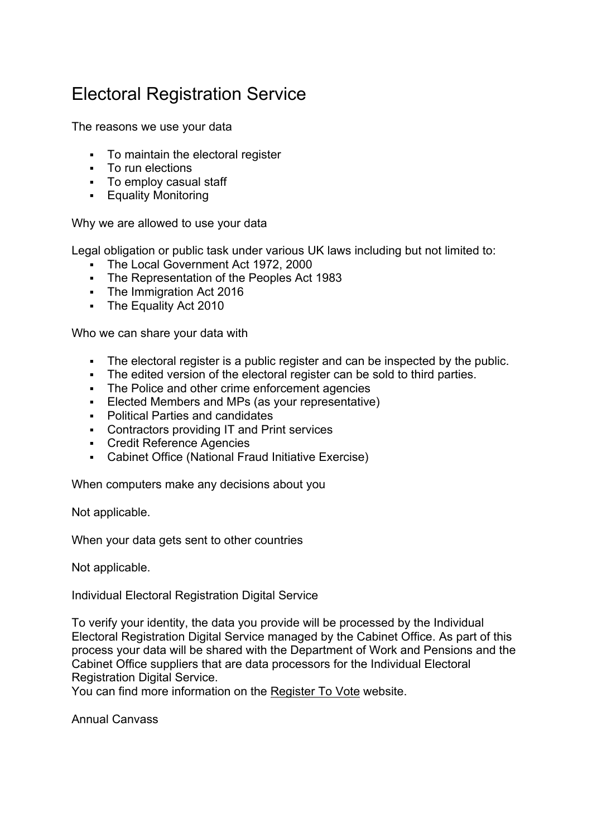## Electoral Registration Service

The reasons we use your data

- To maintain the electoral register
- To run elections
- To employ casual staff
- **Equality Monitoring**

Why we are allowed to use your data

Legal obligation or public task under various UK laws including but not limited to:

- The Local Government Act 1972, 2000
- The Representation of the Peoples Act 1983
- **The Immigration Act 2016**
- **The Equality Act 2010**

Who we can share your data with

- The electoral register is a public register and can be inspected by the public.
- The edited version of the electoral register can be sold to third parties.
- The Police and other crime enforcement agencies
- Elected Members and MPs (as your representative)
- Political Parties and candidates
- **Contractors providing IT and Print services**
- Credit Reference Agencies
- Cabinet Office (National Fraud Initiative Exercise)

When computers make any decisions about you

Not applicable.

When your data gets sent to other countries

Not applicable.

Individual Electoral Registration Digital Service

To verify your identity, the data you provide will be processed by the Individual Electoral Registration Digital Service managed by the Cabinet Office. As part of this process your data will be shared with the Department of Work and Pensions and the Cabinet Office suppliers that are data processors for the Individual Electoral Registration Digital Service.

You can find more information on the [Register To Vote](https://www.registertovote.service.gov.uk/register-to-vote/privacy) website.

Annual Canvass